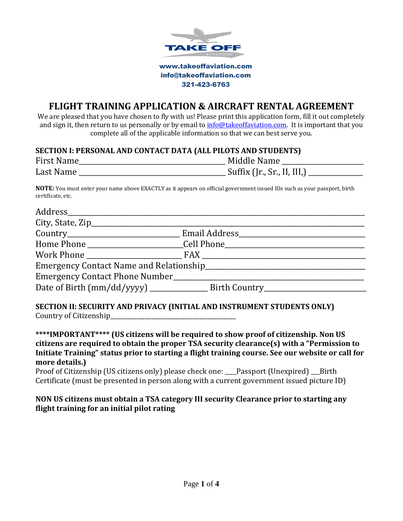

# **FLIGHT TRAINING APPLICATION & AIRCRAFT RENTAL AGREEMENT**

We are pleased that you have chosen to fly with us! Please print this application form, fill it out completely and sign it, then return to us personally or by email t[o info@takeoffaviation.com.](mailto:info@takeoffaviation.com) It is important that you complete all of the applicable information so that we can best serve you.

### **SECTION I: PERSONAL AND CONTACT DATA (ALL PILOTS AND STUDENTS)**

| <b>First Name</b> | Middle Name                 |
|-------------------|-----------------------------|
| Last Name         | Suffix (Jr., Sr., II, III,) |

**NOTE:** You must enter your name above EXACTLY as it appears on official government issued IDs such as your passport, birth certificate, etc.

|  | Home Phone 1990 Cell Phone 2008 Communications and the Communications of the Communications of the Communications of the Communications of the Communications of the Communications of the Communications of the Communication |  |  |  |  |
|--|--------------------------------------------------------------------------------------------------------------------------------------------------------------------------------------------------------------------------------|--|--|--|--|
|  |                                                                                                                                                                                                                                |  |  |  |  |
|  |                                                                                                                                                                                                                                |  |  |  |  |
|  |                                                                                                                                                                                                                                |  |  |  |  |
|  |                                                                                                                                                                                                                                |  |  |  |  |
|  |                                                                                                                                                                                                                                |  |  |  |  |

#### **SECTION II: SECURITY AND PRIVACY (INITIAL AND INSTRUMENT STUDENTS ONLY)** Country of Citizenship

**\*\*\*\*IMPORTANT\*\*\*\* (US citizens will be required to show proof of citizenship. Non US citizens are required to obtain the proper TSA security clearance(s) with a "Permission to Initiate Training" status prior to starting a flight training course. See our website or call for more details.)**

Proof of Citizenship (US citizens only) please check one: \_\_\_\_Passport (Unexpired) \_\_\_Birth Certificate (must be presented in person along with a current government issued picture ID)

## **NON US citizens must obtain a TSA category III security Clearance prior to starting any flight training for an initial pilot rating**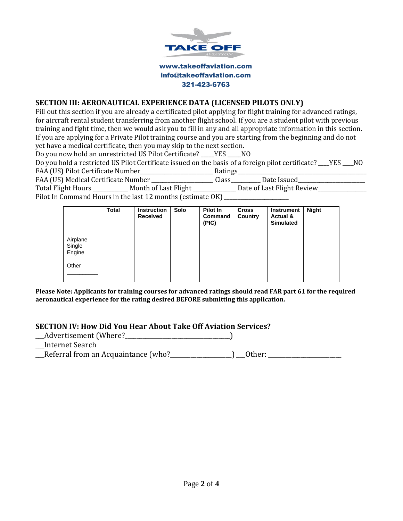

### **SECTION III: AERONAUTICAL EXPERIENCE DATA (LICENSED PILOTS ONLY)**

Fill out this section if you are already a certificated pilot applying for flight training for advanced ratings, for aircraft rental student transferring from another flight school. If you are a student pilot with previous training and fight time, then we would ask you to fill in any and all appropriate information in this section. If you are applying for a Private Pilot training course and you are starting from the beginning and do not yet have a medical certificate, then you may skip to the next section.

Do you now hold an unrestricted US Pilot Certificate? YES NO

Do you hold a restricted US Pilot Certificate issued on the basis of a foreign pilot certificate? \_\_\_\_YES \_\_\_\_NO FAA (US) Pilot Certificate Number\_\_\_\_\_\_\_\_\_\_\_\_\_\_\_\_\_\_\_\_\_\_\_\_\_\_\_ Ratings\_\_\_\_\_\_\_\_\_\_\_\_\_\_\_\_\_\_\_\_\_\_\_\_\_\_\_\_\_\_\_\_\_\_\_\_\_\_\_\_\_\_\_\_\_\_\_\_

FAA (US) Medical Certificate Number \_\_\_\_\_\_\_\_\_\_\_\_\_\_\_\_\_\_\_\_\_\_Class\_\_\_\_\_\_\_\_\_\_ Date Issued\_\_\_\_\_\_\_\_\_\_\_\_\_\_\_\_\_\_\_\_\_\_\_\_\_ Total Flight Hours \_\_\_\_\_\_\_\_\_\_\_\_ Month of Last Flight \_\_\_\_\_\_\_\_\_\_\_\_\_\_\_ Date of Last Flight Review\_\_\_\_\_\_\_\_\_\_\_\_\_\_\_

Pilot In Command Hours in the last 12 months (estimate OK) \_\_\_\_\_\_\_\_\_\_\_\_\_\_\_\_\_\_\_\_\_

|                              | <b>Total</b> | <b>Instruction</b><br>Received | Solo | <b>Pilot In</b><br>Command<br>(PIC) | <b>Cross</b><br>Country | Instrument<br>Actual &<br><b>Simulated</b> | <b>Night</b> |
|------------------------------|--------------|--------------------------------|------|-------------------------------------|-------------------------|--------------------------------------------|--------------|
| Airplane<br>Single<br>Engine |              |                                |      |                                     |                         |                                            |              |
| Other                        |              |                                |      |                                     |                         |                                            |              |

**Please Note: Applicants for training courses for advanced ratings should read FAR part 61 for the required aeronautical experience for the rating desired BEFORE submitting this application.**

### **SECTION IV: How Did You Hear About Take Off Aviation Services?**

\_\_\_Advertisement (Where?\_\_\_\_\_\_\_\_\_\_\_\_\_\_\_\_\_\_\_\_\_\_\_\_\_\_\_\_\_\_\_\_\_\_\_\_)

\_\_Internet Search

\_\_Referral from an Acquaintance (who?\_\_\_\_\_\_\_\_\_\_\_\_\_\_\_\_\_\_\_) \_\_0ther: \_\_\_\_\_\_\_\_\_\_\_\_\_\_\_\_\_\_\_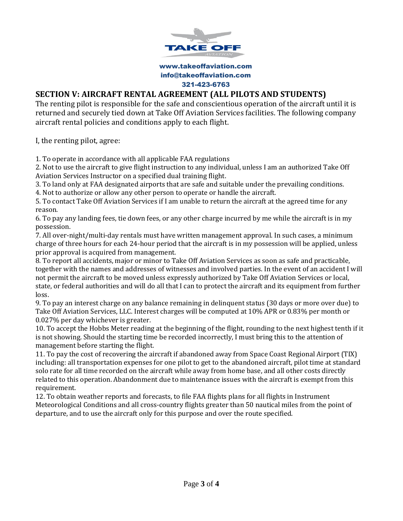

## **SECTION V: AIRCRAFT RENTAL AGREEMENT (ALL PILOTS AND STUDENTS)**

The renting pilot is responsible for the safe and conscientious operation of the aircraft until it is returned and securely tied down at Take Off Aviation Services facilities. The following company aircraft rental policies and conditions apply to each flight.

I, the renting pilot, agree:

1. To operate in accordance with all applicable FAA regulations

2. Not to use the aircraft to give flight instruction to any individual, unless I am an authorized Take Off Aviation Services Instructor on a specified dual training flight.

3. To land only at FAA designated airports that are safe and suitable under the prevailing conditions.

4. Not to authorize or allow any other person to operate or handle the aircraft.

5. To contact Take Off Aviation Services if I am unable to return the aircraft at the agreed time for any reason.

6. To pay any landing fees, tie down fees, or any other charge incurred by me while the aircraft is in my possession.

7. All over-night/multi-day rentals must have written management approval. In such cases, a minimum charge of three hours for each 24-hour period that the aircraft is in my possession will be applied, unless prior approval is acquired from management.

8. To report all accidents, major or minor to Take Off Aviation Services as soon as safe and practicable, together with the names and addresses of witnesses and involved parties. In the event of an accident I will not permit the aircraft to be moved unless expressly authorized by Take Off Aviation Services or local, state, or federal authorities and will do all that I can to protect the aircraft and its equipment from further loss.

9. To pay an interest charge on any balance remaining in delinquent status (30 days or more over due) to Take Off Aviation Services, LLC. Interest charges will be computed at 10% APR or 0.83% per month or 0.027% per day whichever is greater.

10. To accept the Hobbs Meter reading at the beginning of the flight, rounding to the next highest tenth if it is not showing. Should the starting time be recorded incorrectly, I must bring this to the attention of management before starting the flight.

11. To pay the cost of recovering the aircraft if abandoned away from Space Coast Regional Airport (TIX) including: all transportation expenses for one pilot to get to the abandoned aircraft, pilot time at standard solo rate for all time recorded on the aircraft while away from home base, and all other costs directly related to this operation. Abandonment due to maintenance issues with the aircraft is exempt from this requirement.

12. To obtain weather reports and forecasts, to file FAA flights plans for all flights in Instrument Meteorological Conditions and all cross-country flights greater than 50 nautical miles from the point of departure, and to use the aircraft only for this purpose and over the route specified.